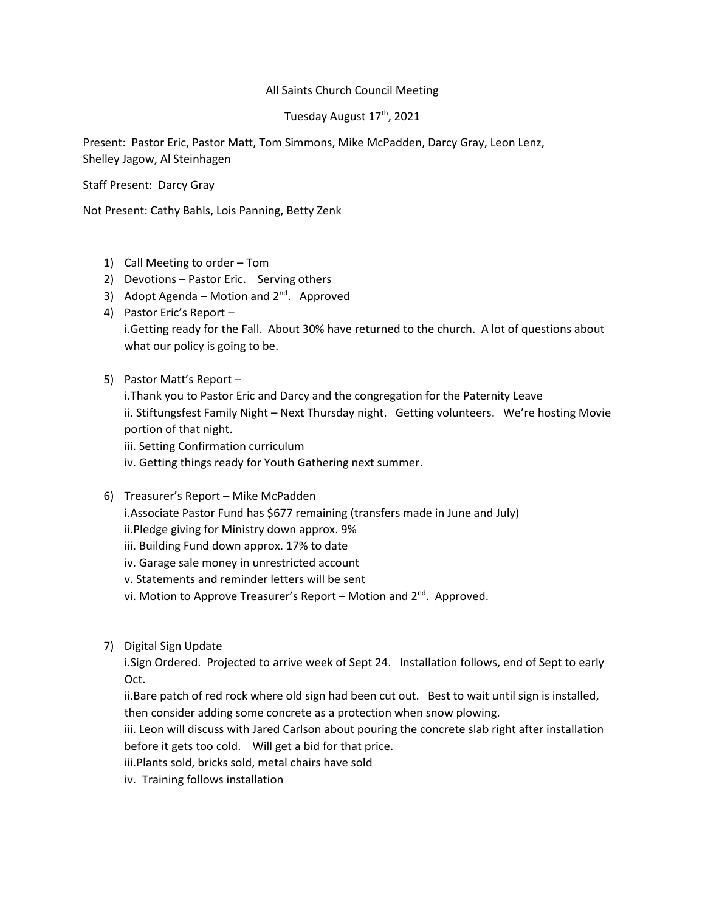## All Saints Church Council Meeting

## Tuesday August 17<sup>th</sup>, 2021

Present: Pastor Eric, Pastor Matt, Tom Simmons, Mike McPadden, Darcy Gray, Leon Lenz, Shelley Jagow, Al Steinhagen

Staff Present: Darcy Gray

Not Present: Cathy Bahls, Lois Panning, Betty Zenk

- 1) Call Meeting to order Tom
- 2) Devotions Pastor Eric. Serving others
- 3) Adopt Agenda Motion and  $2^{nd}$ . Approved
- 4) Pastor Eric's Report i.Getting ready for the Fall. About 30% have returned to the church. A lot of questions about what our policy is going to be.
- 5) Pastor Matt's Report
	- i.Thank you to Pastor Eric and Darcy and the congregation for the Paternity Leave ii. Stiftungsfest Family Night – Next Thursday night. Getting volunteers. We're hosting Movie portion of that night.
	- iii. Setting Confirmation curriculum

iv. Getting things ready for Youth Gathering next summer.

- 6) Treasurer's Report Mike McPadden
	- i.Associate Pastor Fund has \$677 remaining (transfers made in June and July)
	- ii.Pledge giving for Ministry down approx. 9%
	- iii. Building Fund down approx. 17% to date
	- iv. Garage sale money in unrestricted account
	- v. Statements and reminder letters will be sent
	- vi. Motion to Approve Treasurer's Report Motion and  $2^{nd}$ . Approved.
- 7) Digital Sign Update

i.Sign Ordered. Projected to arrive week of Sept 24. Installation follows, end of Sept to early Oct.

ii.Bare patch of red rock where old sign had been cut out. Best to wait until sign is installed, then consider adding some concrete as a protection when snow plowing.

iii. Leon will discuss with Jared Carlson about pouring the concrete slab right after installation before it gets too cold. Will get a bid for that price.

iii.Plants sold, bricks sold, metal chairs have sold

iv. Training follows installation